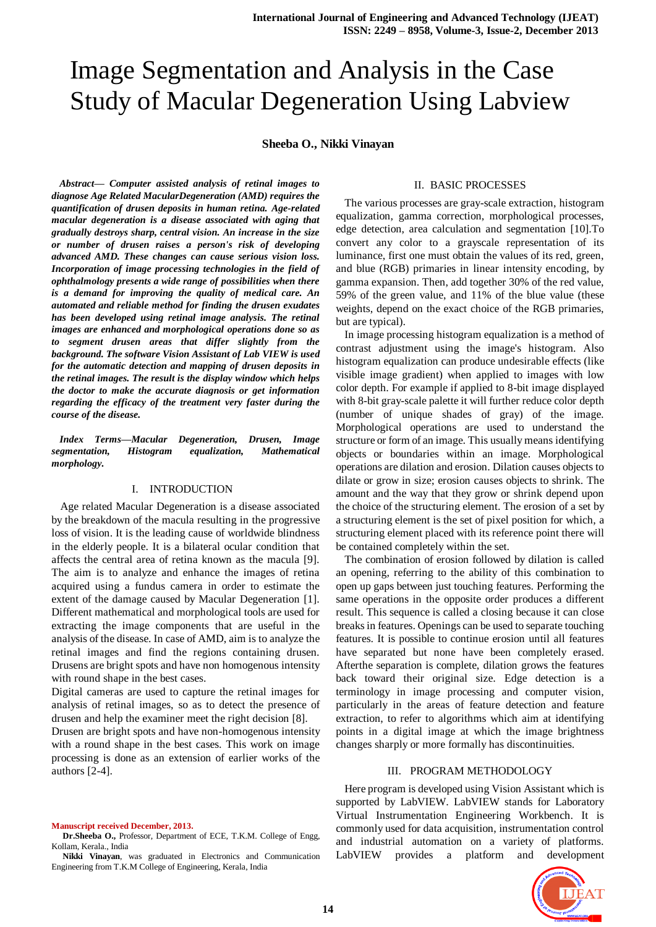# Image Segmentation and Analysis in the Case Study of Macular Degeneration Using Labview

**Sheeba O., Nikki Vinayan**

*Abstract— Computer assisted analysis of retinal images to diagnose Age Related MacularDegeneration (AMD) requires the quantification of drusen deposits in human retina. Age-related macular degeneration is a disease associated with aging that gradually destroys sharp, central vision. An increase in the size or number of drusen raises a person's risk of developing advanced AMD. These changes can cause serious vision loss. Incorporation of image processing technologies in the field of ophthalmology presents a wide range of possibilities when there is a demand for improving the quality of medical care. An automated and reliable method for finding the drusen exudates has been developed using retinal image analysis. The retinal images are enhanced and morphological operations done so as to segment drusen areas that differ slightly from the background. The software Vision Assistant of Lab VIEW is used for the automatic detection and mapping of drusen deposits in the retinal images. The result is the display window which helps the doctor to make the accurate diagnosis or get information regarding the efficacy of the treatment very faster during the course of the disease.*

*Index Terms—Macular Degeneration, Drusen, Image segmentation, Histogram equalization, Mathematical morphology.*

## I. INTRODUCTION

 Age related Macular Degeneration is a disease associated by the breakdown of the macula resulting in the progressive loss of vision. It is the leading cause of worldwide blindness in the elderly people. It is a bilateral ocular condition that affects the central area of retina known as the macula [9]. The aim is to analyze and enhance the images of retina acquired using a fundus camera in order to estimate the extent of the damage caused by Macular Degeneration [1]. Different mathematical and morphological tools are used for extracting the image components that are useful in the analysis of the disease. In case of AMD, aim is to analyze the retinal images and find the regions containing drusen. Drusens are bright spots and have non homogenous intensity with round shape in the best cases.

Digital cameras are used to capture the retinal images for analysis of retinal images, so as to detect the presence of drusen and help the examiner meet the right decision [8].

Drusen are bright spots and have non-homogenous intensity with a round shape in the best cases. This work on image processing is done as an extension of earlier works of the authors [2-4].

**Manuscript received December, 2013.**

**Dr.Sheeba O.,** Professor, Department of ECE, T.K.M. College of Engg, Kollam, Kerala., India

**Nikki Vinayan**, was graduated in Electronics and Communication Engineering from T.K.M College of Engineering, Kerala, India

## II. BASIC PROCESSES

 The various processes are gray-scale extraction, histogram equalization, gamma correction, morphological processes, edge detection, area calculation and segmentation [10].To convert any color to a grayscale representation of its luminance, first one must obtain the values of its red, green, and blue (RGB) primaries in linear intensity encoding, by gamma expansion. Then, add together 30% of the red value, 59% of the green value, and 11% of the blue value (these weights, depend on the exact choice of the RGB primaries, but are typical).

 In image processing histogram equalization is a method of contrast adjustment using the image's histogram. Also histogram equalization can produce undesirable effects (like visible image gradient) when applied to images with low color depth. For example if applied to 8-bit image displayed with 8-bit gray-scale palette it will further reduce color depth (number of unique shades of gray) of the image. Morphological operations are used to understand the structure or form of an image. This usually means identifying objects or boundaries within an image. Morphological operations are dilation and erosion. Dilation causes objects to dilate or grow in size; erosion causes objects to shrink. The amount and the way that they grow or shrink depend upon the choice of the structuring element. The erosion of a set by a structuring element is the set of pixel position for which, a structuring element placed with its reference point there will be contained completely within the set.

 The combination of erosion followed by dilation is called an opening, referring to the ability of this combination to open up gaps between just touching features. Performing the same operations in the opposite order produces a different result. This sequence is called a closing because it can close breaks in features. Openings can be used to separate touching features. It is possible to continue erosion until all features have separated but none have been completely erased. Afterthe separation is complete, dilation grows the features back toward their original size. Edge detection is a terminology in image processing and computer vision, particularly in the areas of feature detection and feature extraction, to refer to algorithms which aim at identifying points in a digital image at which the image brightness changes sharply or more formally has discontinuities.

#### III. PROGRAM METHODOLOGY

 Here program is developed using Vision Assistant which is supported by LabVIEW. LabVIEW stands for Laboratory Virtual Instrumentation Engineering Workbench. It is commonly used for data acquisition, instrumentation control and industrial automation on a variety of platforms. LabVIEW provides a platform and development

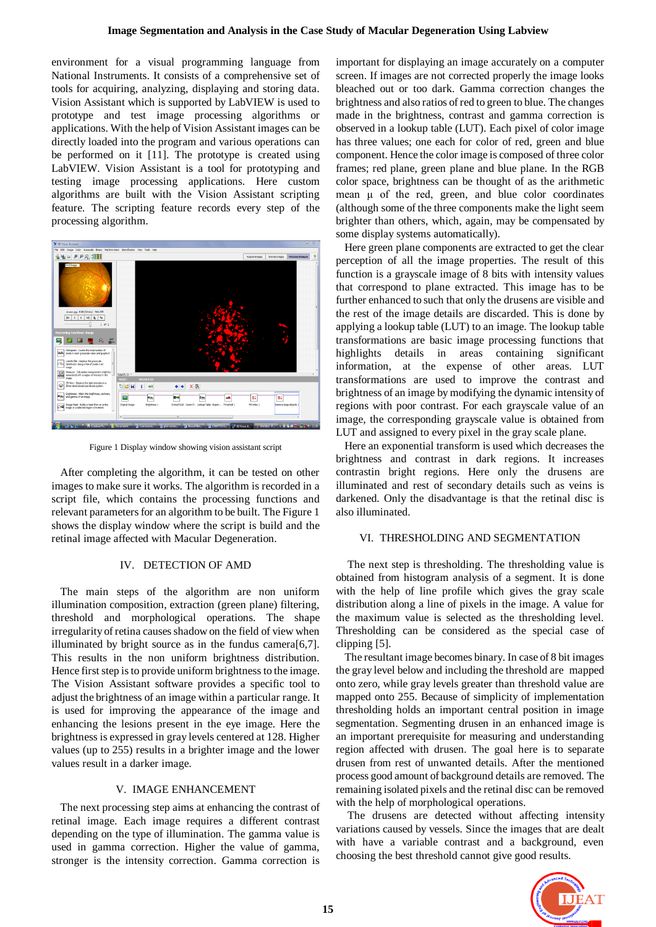environment for a visual programming language from National Instruments. It consists of a comprehensive set of tools for acquiring, analyzing, displaying and storing data. Vision Assistant which is supported by LabVIEW is used to prototype and test image processing algorithms or applications. With the help of Vision Assistant images can be directly loaded into the program and various operations can be performed on it [11]. The prototype is created using LabVIEW. Vision Assistant is a tool for prototyping and testing image processing applications. Here custom algorithms are built with the Vision Assistant scripting feature. The scripting feature records every step of the processing algorithm.



Figure 1 Display window showing vision assistant script

 After completing the algorithm, it can be tested on other images to make sure it works. The algorithm is recorded in a script file, which contains the processing functions and relevant parameters for an algorithm to be built. The Figure 1 shows the display window where the script is build and the retinal image affected with Macular Degeneration.

# IV. DETECTION OF AMD

 The main steps of the algorithm are non uniform illumination composition, extraction (green plane) filtering, threshold and morphological operations. The shape irregularity of retina causes shadow on the field of view when illuminated by bright source as in the fundus camera[6,7]. This results in the non uniform brightness distribution. Hence first step is to provide uniform brightness to the image. The Vision Assistant software provides a specific tool to adjust the brightness of an image within a particular range. It is used for improving the appearance of the image and enhancing the lesions present in the eye image. Here the brightness is expressed in gray levels centered at 128. Higher values (up to 255) results in a brighter image and the lower values result in a darker image.

## V. IMAGE ENHANCEMENT

 The next processing step aims at enhancing the contrast of retinal image. Each image requires a different contrast depending on the type of illumination. The gamma value is used in gamma correction. Higher the value of gamma, stronger is the intensity correction. Gamma correction is important for displaying an image accurately on a computer screen. If images are not corrected properly the image looks bleached out or too dark. Gamma correction changes the brightness and also ratios of red to green to blue. The changes made in the brightness, contrast and gamma correction is observed in a lookup table (LUT). Each pixel of color image has three values; one each for color of red, green and blue component. Hence the color image is composed of three color frames; red plane, green plane and blue plane. In the RGB color space, brightness can be thought of as the arithmetic mean μ of the red, green, and blue color coordinates (although some of the three components make the light seem brighter than others, which, again, may be compensated by some display systems automatically).

 Here green plane components are extracted to get the clear perception of all the image properties. The result of this function is a grayscale image of 8 bits with intensity values that correspond to plane extracted. This image has to be further enhanced to such that only the drusens are visible and the rest of the image details are discarded. This is done by applying a lookup table (LUT) to an image. The lookup table transformations are basic image processing functions that highlights details in areas containing significant information, at the expense of other areas. LUT transformations are used to improve the contrast and brightness of an image by modifying the dynamic intensity of regions with poor contrast. For each grayscale value of an image, the corresponding grayscale value is obtained from LUT and assigned to every pixel in the gray scale plane.

 Here an exponential transform is used which decreases the brightness and contrast in dark regions. It increases contrastin bright regions. Here only the drusens are illuminated and rest of secondary details such as veins is darkened. Only the disadvantage is that the retinal disc is also illuminated.

# VI. THRESHOLDING AND SEGMENTATION

 The next step is thresholding. The thresholding value is obtained from histogram analysis of a segment. It is done with the help of line profile which gives the gray scale distribution along a line of pixels in the image. A value for the maximum value is selected as the thresholding level. Thresholding can be considered as the special case of clipping [5].

 The resultant image becomes binary. In case of 8 bit images the gray level below and including the threshold are mapped onto zero, while gray levels greater than threshold value are mapped onto 255. Because of simplicity of implementation thresholding holds an important central position in image segmentation. Segmenting drusen in an enhanced image is an important prerequisite for measuring and understanding region affected with drusen. The goal here is to separate drusen from rest of unwanted details. After the mentioned process good amount of background details are removed. The remaining isolated pixels and the retinal disc can be removed with the help of morphological operations.

 The drusens are detected without affecting intensity variations caused by vessels. Since the images that are dealt with have a variable contrast and a background, even choosing the best threshold cannot give good results.

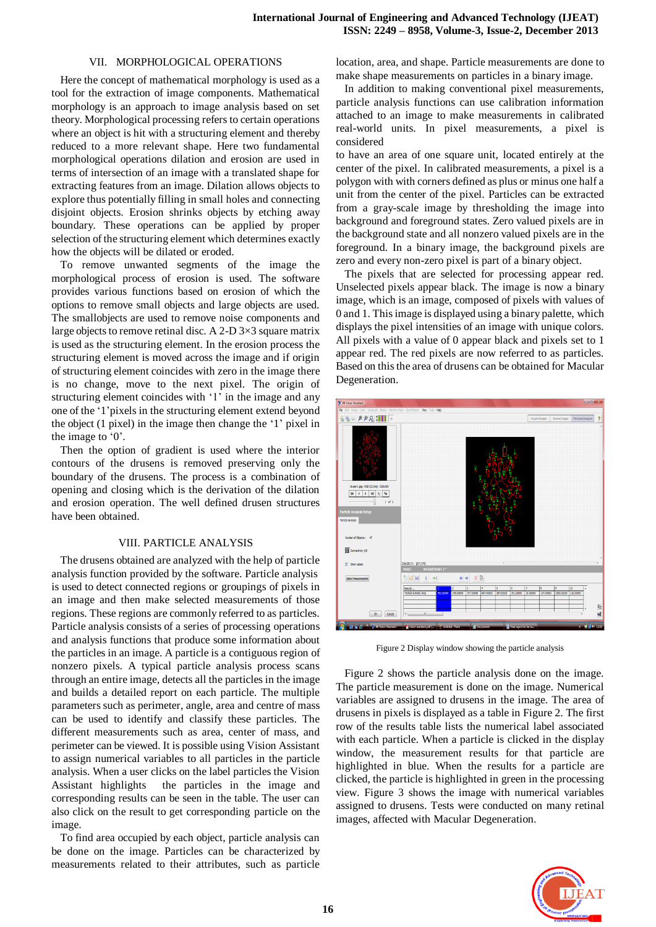## VII. MORPHOLOGICAL OPERATIONS

 Here the concept of mathematical morphology is used as a tool for the extraction of image components. Mathematical morphology is an approach to image analysis based on set theory. Morphological processing refers to certain operations where an object is hit with a structuring element and thereby reduced to a more relevant shape. Here two fundamental morphological operations dilation and erosion are used in terms of intersection of an image with a translated shape for extracting features from an image. Dilation allows objects to explore thus potentially filling in small holes and connecting disjoint objects. Erosion shrinks objects by etching away boundary. These operations can be applied by proper selection of the structuring element which determines exactly how the objects will be dilated or eroded.

 To remove unwanted segments of the image the morphological process of erosion is used. The software provides various functions based on erosion of which the options to remove small objects and large objects are used. The smallobjects are used to remove noise components and large objects to remove retinal disc. A 2-D 3×3 square matrix is used as the structuring element. In the erosion process the structuring element is moved across the image and if origin of structuring element coincides with zero in the image there is no change, move to the next pixel. The origin of structuring element coincides with '1' in the image and any one of the '1'pixels in the structuring element extend beyond the object (1 pixel) in the image then change the '1' pixel in the image to '0'.

 Then the option of gradient is used where the interior contours of the drusens is removed preserving only the boundary of the drusens. The process is a combination of opening and closing which is the derivation of the dilation and erosion operation. The well defined drusen structures have been obtained.

## VIII. PARTICLE ANALYSIS

 The drusens obtained are analyzed with the help of particle analysis function provided by the software. Particle analysis is used to detect connected regions or groupings of pixels in an image and then make selected measurements of those regions. These regions are commonly referred to as particles. Particle analysis consists of a series of processing operations and analysis functions that produce some information about the particles in an image. A particle is a contiguous region of nonzero pixels. A typical particle analysis process scans through an entire image, detects all the particles in the image and builds a detailed report on each particle. The multiple parameters such as perimeter, angle, area and centre of mass can be used to identify and classify these particles. The different measurements such as area, center of mass, and perimeter can be viewed. It is possible using Vision Assistant to assign numerical variables to all particles in the particle analysis. When a user clicks on the label particles the Vision Assistant highlights the particles in the image and corresponding results can be seen in the table. The user can also click on the result to get corresponding particle on the image.

 To find area occupied by each object, particle analysis can be done on the image. Particles can be characterized by measurements related to their attributes, such as particle location, area, and shape. Particle measurements are done to make shape measurements on particles in a binary image.

 In addition to making conventional pixel measurements, particle analysis functions can use calibration information attached to an image to make measurements in calibrated real-world units. In pixel measurements, a pixel is considered

to have an area of one square unit, located entirely at the center of the pixel. In calibrated measurements, a pixel is a polygon with with corners defined as plus or minus one half a unit from the center of the pixel. Particles can be extracted from a gray-scale image by thresholding the image into background and foreground states. Zero valued pixels are in the background state and all nonzero valued pixels are in the foreground. In a binary image, the background pixels are zero and every non-zero pixel is part of a binary object.

 The pixels that are selected for processing appear red. Unselected pixels appear black. The image is now a binary image, which is an image, composed of pixels with values of 0 and 1. This image is displayed using a binary palette, which displays the pixel intensities of an image with unique colors. All pixels with a value of 0 appear black and pixels set to 1 appear red. The red pixels are now referred to as particles. Based on this the area of drusens can be obtained for Macular Degeneration.



Figure 2 Display window showing the particle analysis

 Figure 2 shows the particle analysis done on the image. The particle measurement is done on the image. Numerical variables are assigned to drusens in the image. The area of drusens in pixels is displayed as a table in Figure 2. The first row of the results table lists the numerical label associated with each particle. When a particle is clicked in the display window, the measurement results for that particle are highlighted in blue. When the results for a particle are clicked, the particle is highlighted in green in the processing view. Figure 3 shows the image with numerical variables assigned to drusens. Tests were conducted on many retinal images, affected with Macular Degeneration.